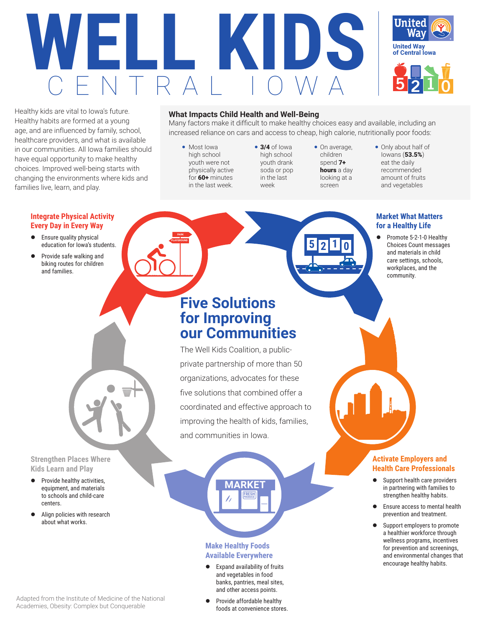



Healthy kids are vital to Iowa's future. Healthy habits are formed at a young age, and are influenced by family, school, healthcare providers, and what is available in our communities. All Iowa families should have equal opportunity to make healthy choices. Improved well-being starts with changing the environments where kids and families live, learn, and play.

#### **What Impacts Child Health and Well-Being**

Many factors make it difficult to make healthy choices easy and available, including an increased reliance on cars and access to cheap, high calorie, nutritionally poor foods:

• Most Iowa high school youth were not physically active for 60+ minutes in the last week.

**PARK PLAYGROUND**

- 3/4 of Iowa high school youth drank soda or pop in the last week
- On average, children spend 7+ hours a day looking at a screen

**5 2 1 0**

Only about half of Iowans (53.5%) eat the daily recommended amount of fruits and vegetables

## **Market What Matters for a Healthy Life**

• Promote 5-2-1-0 Healthy Choices Count messages and materials in child care settings, schools, workplaces, and the community.

### **Integrate Physical Activity Every Day in Every Way**

- $\bullet$  Ensure quality physical education for Iowa's students.
- Provide safe walking and biking routes for children and families.

**Five Solutions for Improving our Communities**

The Well Kids Coalition, a publicprivate partnership of more than 50 organizations, advocates for these five solutions that combined offer a coordinated and effective approach to improving the health of kids, families, and communities in Iowa.

**Strengthen Places Where Kids Learn and Play**

- Provide healthy activities, equipment, and materials to schools and child-care centers.
- Align policies with research about what works.

## **Make Healthy Foods Available Everywhere**

 $\bullet$  Expand availability of fruits and vegetables in food banks, pantries, meal sites, and other access points.

**FRESH PRODUCE**

- Adapted from the Institute of Medicine of the National Academies, Obesity: Complex but Conquerable
- Provide affordable healthy foods at convenience stores.

### **Activate Employers and Health Care Professionals**

- Support health care providers in partnering with families to strengthen healthy habits.
- Ensure access to mental health prevention and treatment.
- Support employers to promote a healthier workforce through wellness programs, incentives for prevention and screenings, and environmental changes that encourage healthy habits.